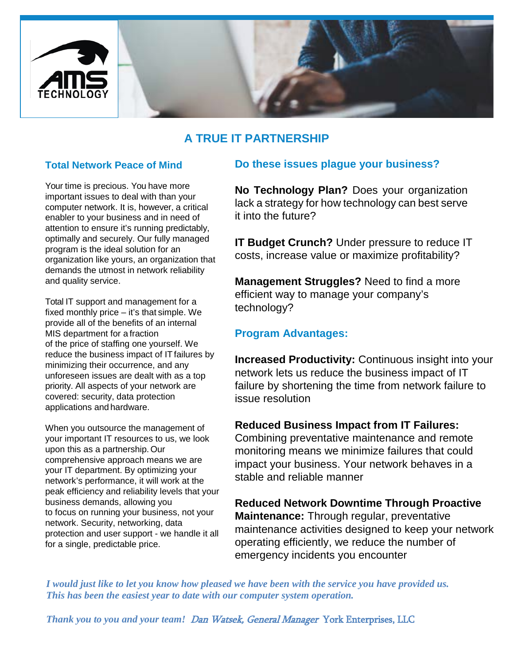

# **A TRUE IT PARTNERSHIP**

### **Total Network Peace of Mind**

Your time is precious. You have more important issues to deal with than your computer network. It is, however, a critical enabler to your business and in need of attention to ensure it's running predictably, optimally and securely. Our fully managed program is the ideal solution for an organization like yours, an organization that demands the utmost in network reliability and quality service.

Total IT support and management for a fixed monthly price – it's that simple. We provide all of the benefits of an internal MIS department for a fraction of the price of staffing one yourself. We reduce the business impact of IT failures by minimizing their occurrence, and any unforeseen issues are dealt with as a top priority. All aspects of your network are covered: security, data protection applications and hardware.

When you outsource the management of your important IT resources to us, we look upon this as a partnership.Our comprehensive approach means we are your IT department. By optimizing your network's performance, it will work at the peak efficiency and reliability levels that your business demands, allowing you to focus on running your business, not your network. Security, networking, data protection and user support - we handle it all for a single, predictable price.

### **Do these issues plague your business?**

**No Technology Plan?** Does your organization lack a strategy for how technology can best serve it into the future?

**IT Budget Crunch?** Under pressure to reduce IT costs, increase value or maximize profitability?

**Management Struggles?** Need to find a more efficient way to manage your company's technology?

## **Program Advantages:**

**Increased Productivity:** Continuous insight into your network lets us reduce the business impact of IT failure by shortening the time from network failure to issue resolution

**Reduced Business Impact from IT Failures:**  Combining preventative maintenance and remote monitoring means we minimize failures that could impact your business. Your network behaves in a stable and reliable manner

**Reduced Network Downtime Through Proactive Maintenance:** Through regular, preventative maintenance activities designed to keep your network operating efficiently, we reduce the number of emergency incidents you encounter

*I would just like to let you know how pleased we have been with the service you have provided us. This has been the easiest year to date with our computer system operation.*

*Thank you to you and your team!* Dan Watsek, General Manager York Enterprises, LLC